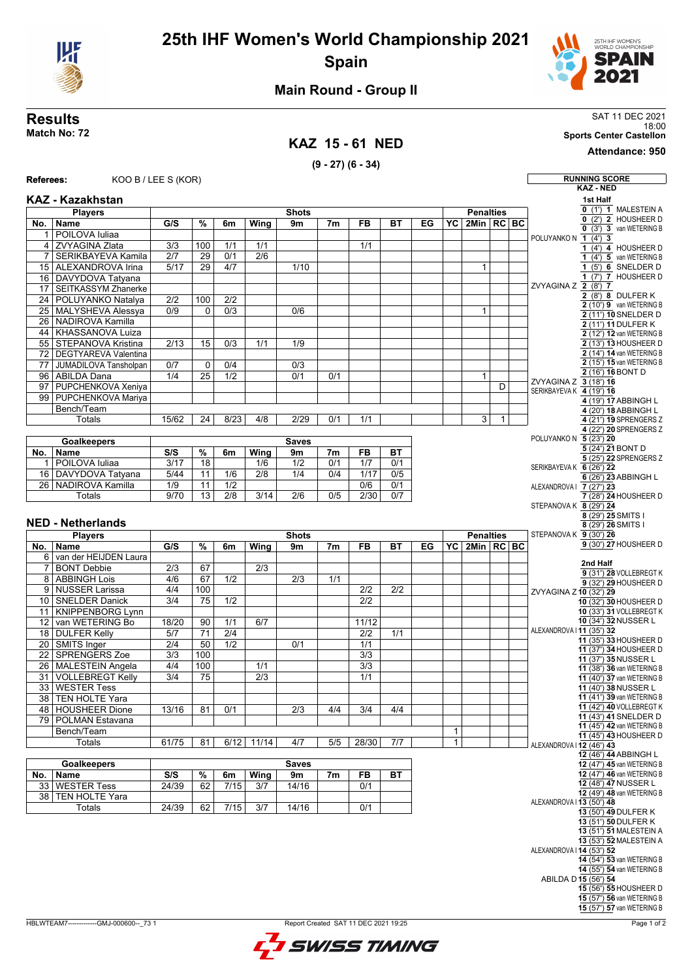

## **25th IHF Women's World Championship 2021 Spain**



### **Main Round - Group II**

### **KAZ 15 - 61 NED**

**(9 - 27) (6 - 34)**

**Results** SAT 11 DEC 2021 Results<br>Match No: 72<br>Match No: 72<br>Sports Center Castellon

**Attendance: 950**

 $\overline{\phantom{0}}$ 

| Referees:       | KOO B / LEE S (KOR)         |                  |                 |                  |                  |                  |                |                  |           |    |                 |                        |                   |                          | <b>RUNNING SCORE</b>                                                                                                                                                                                                                                                                                                                                                                                                                                                                                                                                    |
|-----------------|-----------------------------|------------------|-----------------|------------------|------------------|------------------|----------------|------------------|-----------|----|-----------------|------------------------|-------------------|--------------------------|---------------------------------------------------------------------------------------------------------------------------------------------------------------------------------------------------------------------------------------------------------------------------------------------------------------------------------------------------------------------------------------------------------------------------------------------------------------------------------------------------------------------------------------------------------|
|                 |                             |                  |                 |                  |                  |                  |                |                  |           |    |                 |                        |                   |                          | <b>KAZ - NED</b>                                                                                                                                                                                                                                                                                                                                                                                                                                                                                                                                        |
|                 | KAZ - Kazakhstan            |                  |                 |                  |                  |                  |                |                  |           |    |                 |                        |                   |                          | 1st Half<br>$0$ (1') $1$ MALESTEIN A                                                                                                                                                                                                                                                                                                                                                                                                                                                                                                                    |
|                 | <b>Players</b>              |                  |                 |                  |                  | <b>Shots</b>     |                |                  |           |    |                 | <b>Penalties</b>       |                   |                          | 0 (2') 2 HOUSHEER D                                                                                                                                                                                                                                                                                                                                                                                                                                                                                                                                     |
| No.             | Name                        | G/S              | %               | 6m               | Wing             | 9m               | 7 <sub>m</sub> | <b>FB</b>        | ВT        | EG | YC I            | $2$ Min $ RC BC$       |                   |                          | $0$ $(3')$ 3 van WETERING B                                                                                                                                                                                                                                                                                                                                                                                                                                                                                                                             |
| 1               | POILOVA Iuliaa              |                  |                 |                  |                  |                  |                |                  |           |    |                 |                        |                   | POLUYANKO N 1 (4') 3     |                                                                                                                                                                                                                                                                                                                                                                                                                                                                                                                                                         |
| 4               | ZVYAGINA Zlata              | 3/3              | 100             | 1/1              | 1/1              |                  |                | 1/1              |           |    |                 |                        |                   |                          | $1$ (4') 4 HOUSHEER D                                                                                                                                                                                                                                                                                                                                                                                                                                                                                                                                   |
| 7               | SERIKBAYEVA Kamila          | $\overline{2/7}$ | 29              | 0/1              | $\overline{2/6}$ |                  |                |                  |           |    |                 |                        |                   |                          | 1 $(4')$ 5 van WETERING B                                                                                                                                                                                                                                                                                                                                                                                                                                                                                                                               |
| 15              | ALEXANDROVA Irina           | 5/17             | 29              | 4/7              |                  | 1/10             |                |                  |           |    |                 | $\mathbf{1}$           |                   |                          | 1 (5') 6 SNELDER D                                                                                                                                                                                                                                                                                                                                                                                                                                                                                                                                      |
| 16              | DAVYDOVA Tatyana            |                  |                 |                  |                  |                  |                |                  |           |    |                 |                        |                   |                          | 1 $(7')$ 7 HOUSHEER D                                                                                                                                                                                                                                                                                                                                                                                                                                                                                                                                   |
| 17              | <b>SEITKASSYM Zhanerke</b>  |                  |                 |                  |                  |                  |                |                  |           |    |                 |                        |                   | ZVYAGINA Z 2 (8') 7      |                                                                                                                                                                                                                                                                                                                                                                                                                                                                                                                                                         |
| $\overline{24}$ | POLUYANKO Natalya           | $\overline{2/2}$ | 100             | $\overline{2/2}$ |                  |                  |                |                  |           |    |                 |                        |                   |                          | $2(8)$ 8 DULFER K                                                                                                                                                                                                                                                                                                                                                                                                                                                                                                                                       |
| $\overline{25}$ | <b>MALYSHEVA Alessya</b>    | 0/9              | 0               | $\overline{0/3}$ |                  | 0/6              |                |                  |           |    |                 | $\mathbf{1}$           |                   |                          | 2 (10') 9 van WETERING B                                                                                                                                                                                                                                                                                                                                                                                                                                                                                                                                |
| $\overline{26}$ | NADIROVA Kamilla            |                  |                 |                  |                  |                  |                |                  |           |    |                 |                        |                   |                          | 2 (11') 10 SNELDER D<br>2 (11') 11 DULFER K                                                                                                                                                                                                                                                                                                                                                                                                                                                                                                             |
| 44              | KHASSANOVA Luiza            |                  |                 |                  |                  |                  |                |                  |           |    |                 |                        |                   |                          | 2 (12') 12 van WETERING B                                                                                                                                                                                                                                                                                                                                                                                                                                                                                                                               |
| 55              | <b>STEPANOVA Kristina</b>   | 2/13             | 15              | $\overline{0/3}$ | 1/1              | 1/9              |                |                  |           |    |                 |                        |                   |                          | 2 (13') 13 HOUSHEER D                                                                                                                                                                                                                                                                                                                                                                                                                                                                                                                                   |
| $\overline{72}$ | <b>DEGTYAREVA Valentina</b> |                  |                 |                  |                  |                  |                |                  |           |    |                 |                        |                   |                          | 2 (14') 14 van WETERING B                                                                                                                                                                                                                                                                                                                                                                                                                                                                                                                               |
| $\overline{77}$ | JUMADILOVA Tansholpan       | 0/7              | 0               | 0/4              |                  | 0/3              |                |                  |           |    |                 |                        |                   |                          | 2 (15') 15 van WETERING B                                                                                                                                                                                                                                                                                                                                                                                                                                                                                                                               |
| 96              | <b>ABILDA Dana</b>          | 1/4              | 25              | 1/2              |                  | 0/1              | 0/1            |                  |           |    |                 | $\mathbf{1}$           |                   |                          | 2 (16') 16 BONT D                                                                                                                                                                                                                                                                                                                                                                                                                                                                                                                                       |
| 97              | PUPCHENKOVA Xeniya          |                  |                 |                  |                  |                  |                |                  |           |    |                 |                        | D                 | ZVYAGINA Z 3 (18') 16    |                                                                                                                                                                                                                                                                                                                                                                                                                                                                                                                                                         |
| 99              | <b>PUPCHENKOVA Mariya</b>   |                  |                 |                  |                  |                  |                |                  |           |    |                 |                        |                   | SERIKBAYEVAK 4 (19') 16  |                                                                                                                                                                                                                                                                                                                                                                                                                                                                                                                                                         |
|                 | Bench/Team                  |                  |                 |                  |                  |                  |                |                  |           |    |                 |                        |                   |                          | 4 (19') 17 ABBINGH L                                                                                                                                                                                                                                                                                                                                                                                                                                                                                                                                    |
|                 | Totals                      |                  |                 |                  |                  |                  |                |                  |           |    |                 |                        |                   |                          | 4 (20') 18 ABBINGH L                                                                                                                                                                                                                                                                                                                                                                                                                                                                                                                                    |
|                 |                             | 15/62            | 24              | 8/23             | 4/8              | 2/29             | 0/1            | 1/1              |           |    |                 | 3                      | 1                 |                          | 4 (21') 19 SPRENGERS Z                                                                                                                                                                                                                                                                                                                                                                                                                                                                                                                                  |
|                 |                             |                  |                 |                  |                  |                  |                |                  |           |    |                 |                        |                   |                          | 4 (22') 20 SPRENGERS Z                                                                                                                                                                                                                                                                                                                                                                                                                                                                                                                                  |
|                 | <b>Goalkeepers</b>          | <b>Saves</b>     |                 |                  |                  |                  |                |                  |           |    |                 | POLUYANKO N 5 (23') 20 | 5 (24') 21 BONT D |                          |                                                                                                                                                                                                                                                                                                                                                                                                                                                                                                                                                         |
| No.             | Name                        | S/S              | %               | 6m               | Wing             | 9m               | 7m             | <b>FB</b>        | <b>BT</b> |    |                 |                        |                   |                          | $\overline{5(25')}$ 22 SPRENGERS Z                                                                                                                                                                                                                                                                                                                                                                                                                                                                                                                      |
| 1               | POILOVA Iuliaa              | 3/17             | 18              |                  | 1/6              | $\overline{1/2}$ | 0/1            | 1/7              | 0/1       |    |                 |                        |                   | SERIKBAYEVA K 6 (26') 22 |                                                                                                                                                                                                                                                                                                                                                                                                                                                                                                                                                         |
| 16              | DAVYDOVA Tatyana            | 5/44             | 11              | 1/6              | 2/8              | 1/4              | 0/4            | 1/17             | 0/5       |    |                 |                        |                   |                          | 6 (26') 23 ABBINGH L                                                                                                                                                                                                                                                                                                                                                                                                                                                                                                                                    |
| 26              | NADIROVA Kamilla            | $\overline{1/9}$ | 11              | $\overline{1/2}$ |                  |                  |                | $\overline{0/6}$ | 0/1       |    |                 |                        |                   | ALEXANDROVA   7 (27') 23 |                                                                                                                                                                                                                                                                                                                                                                                                                                                                                                                                                         |
|                 | <b>Totals</b>               | 9/70             | 13              | 2/8              | 3/14             | 2/6              | 0/5            | 2/30             | 0/7       |    |                 |                        |                   |                          | 7 (28') 24 HOUSHEER D                                                                                                                                                                                                                                                                                                                                                                                                                                                                                                                                   |
|                 |                             |                  |                 |                  |                  |                  |                |                  |           |    |                 |                        |                   | STEPANOVA K 8 (29') 24   |                                                                                                                                                                                                                                                                                                                                                                                                                                                                                                                                                         |
|                 | <b>NED - Netherlands</b>    |                  |                 |                  |                  |                  |                |                  |           |    |                 |                        |                   |                          | 8 (29') 25 SMITS I                                                                                                                                                                                                                                                                                                                                                                                                                                                                                                                                      |
|                 |                             |                  |                 |                  |                  |                  |                |                  |           |    |                 |                        |                   |                          | 8 (29') 26 SMITS I                                                                                                                                                                                                                                                                                                                                                                                                                                                                                                                                      |
|                 | <b>Players</b>              |                  |                 |                  |                  | <b>Shots</b>     |                |                  |           |    |                 | <b>Penalties</b>       |                   | STEPANOVA K 9 (30') 26   | 9 (30') 27 HOUSHEER D                                                                                                                                                                                                                                                                                                                                                                                                                                                                                                                                   |
| No.             | <b>Name</b>                 | G/S              | $\%$            | 6m               | Wing             | 9m               | 7 <sub>m</sub> | <b>FB</b>        | ВT        | EG | $\overline{Y}C$ | $2$ Min $RC$ BC        |                   |                          |                                                                                                                                                                                                                                                                                                                                                                                                                                                                                                                                                         |
| 6               | van der HEIJDEN Laura       |                  |                 |                  |                  |                  |                |                  |           |    |                 |                        |                   |                          | 2nd Half                                                                                                                                                                                                                                                                                                                                                                                                                                                                                                                                                |
| 7               | <b>BONT Debbie</b>          | 2/3              | 67              |                  | 2/3              |                  |                |                  |           |    |                 |                        |                   |                          | 9 (31') 28 VOLLEBREGT K                                                                                                                                                                                                                                                                                                                                                                                                                                                                                                                                 |
| 8               | <b>ABBINGH Lois</b>         | 4/6              | 67              | 1/2              |                  | 2/3              | 1/1            |                  |           |    |                 |                        |                   |                          | 9 (32') 29 HOUSHEER D                                                                                                                                                                                                                                                                                                                                                                                                                                                                                                                                   |
| 9               | <b>NUSSER Larissa</b>       | 4/4              | 100             |                  |                  |                  |                | 2/2              | 2/2       |    |                 |                        |                   | ZVYAGINA Z 10 (32') 29   |                                                                                                                                                                                                                                                                                                                                                                                                                                                                                                                                                         |
| 10              |                             |                  | 75              | 1/2              |                  |                  |                | 2/2              |           |    |                 |                        |                   |                          | 10 (32') 30 HOUSHEER D                                                                                                                                                                                                                                                                                                                                                                                                                                                                                                                                  |
|                 | <b>SNELDER Danick</b>       | 3/4              |                 |                  |                  |                  |                |                  |           |    |                 |                        |                   |                          |                                                                                                                                                                                                                                                                                                                                                                                                                                                                                                                                                         |
| 11              | <b>KNIPPENBORG Lynn</b>     |                  |                 |                  |                  |                  |                |                  |           |    |                 |                        |                   |                          |                                                                                                                                                                                                                                                                                                                                                                                                                                                                                                                                                         |
| 12              | van WETERING Bo             | 18/20            | 90              | 1/1              | 6/7              |                  |                | 11/12            |           |    |                 |                        |                   |                          | 10 (34') 32 NUSSER L                                                                                                                                                                                                                                                                                                                                                                                                                                                                                                                                    |
| 18              | <b>DULFER Kelly</b>         | 5/7              | 71              | $\overline{2/4}$ |                  |                  |                | 2/2              | 1/1       |    |                 |                        |                   | ALEXANDROVA I11 (35') 32 |                                                                                                                                                                                                                                                                                                                                                                                                                                                                                                                                                         |
| 20              | SMITS Inger                 | 2/4              | 50              | 1/2              |                  | 0/1              |                | 1/1              |           |    |                 |                        |                   |                          |                                                                                                                                                                                                                                                                                                                                                                                                                                                                                                                                                         |
| 22              | <b>SPRENGERS Zoe</b>        | 3/3              | 100             |                  |                  |                  |                | 3/3              |           |    |                 |                        |                   |                          |                                                                                                                                                                                                                                                                                                                                                                                                                                                                                                                                                         |
| 26              | MALESTEIN Angela            | 4/4              | 100             |                  | 1/1              |                  |                | $\overline{3/3}$ |           |    |                 |                        |                   |                          | 11 (37') 35 NUSSER L                                                                                                                                                                                                                                                                                                                                                                                                                                                                                                                                    |
| 31              | <b>VOLLEBREGT Kelly</b>     | $\overline{3/4}$ | $\overline{75}$ |                  | $\overline{2/3}$ |                  |                | 1/1              |           |    |                 |                        |                   |                          |                                                                                                                                                                                                                                                                                                                                                                                                                                                                                                                                                         |
| 33              | <b>WESTER Tess</b>          |                  |                 |                  |                  |                  |                |                  |           |    |                 |                        |                   |                          | 11 (40') 38 NUSSER L                                                                                                                                                                                                                                                                                                                                                                                                                                                                                                                                    |
|                 |                             |                  |                 |                  |                  |                  |                |                  |           |    |                 |                        |                   |                          |                                                                                                                                                                                                                                                                                                                                                                                                                                                                                                                                                         |
|                 | 38 TEN HOLTE Yara           |                  |                 |                  |                  |                  |                |                  |           |    |                 |                        |                   |                          |                                                                                                                                                                                                                                                                                                                                                                                                                                                                                                                                                         |
|                 | 48 HOUSHEER Dione           | 13/16            | 81              | 0/1              |                  | $\overline{2/3}$ | 4/4            | $\overline{3/4}$ | 4/4       |    |                 |                        |                   |                          |                                                                                                                                                                                                                                                                                                                                                                                                                                                                                                                                                         |
|                 | 79 POLMAN Estavana          |                  |                 |                  |                  |                  |                |                  |           |    |                 |                        |                   |                          |                                                                                                                                                                                                                                                                                                                                                                                                                                                                                                                                                         |
|                 | Bench/Team                  |                  |                 |                  |                  |                  |                |                  |           |    | $\mathbf{1}$    |                        |                   |                          |                                                                                                                                                                                                                                                                                                                                                                                                                                                                                                                                                         |
|                 | Totals                      | 61/75            | 81              | 6/12             | 11/14            | 4/7              | 5/5            | 28/30            | 7/7       |    | $\mathbf{1}$    |                        |                   | ALEXANDROVA I12 (46') 43 |                                                                                                                                                                                                                                                                                                                                                                                                                                                                                                                                                         |
|                 |                             |                  |                 |                  |                  |                  |                |                  |           |    |                 |                        |                   |                          | 12 (46') 44 ABBINGH L                                                                                                                                                                                                                                                                                                                                                                                                                                                                                                                                   |
|                 | <b>Goalkeepers</b>          |                  |                 |                  |                  | <b>Saves</b>     |                |                  |           |    |                 |                        |                   |                          |                                                                                                                                                                                                                                                                                                                                                                                                                                                                                                                                                         |
| No.             | Name                        | S/S              | $\%$            | 6m               | <b>Wing</b>      | 9m               | 7m             | FB               | ВT        |    |                 |                        |                   |                          |                                                                                                                                                                                                                                                                                                                                                                                                                                                                                                                                                         |
|                 | 33 WESTER Tess              | 24/39            | 62              | 7/15             | 3/7              | 14/16            |                | 0/1              |           |    |                 |                        |                   |                          | <b>12 (48') 47 NUSSER L</b>                                                                                                                                                                                                                                                                                                                                                                                                                                                                                                                             |
|                 | 38 TEN HOLTE Yara           |                  |                 |                  |                  |                  |                |                  |           |    |                 |                        |                   | ALEXANDROVA I13 (50') 48 |                                                                                                                                                                                                                                                                                                                                                                                                                                                                                                                                                         |
|                 | Totals                      | 24/39            | 62              | 7/15             | 3/7              | 14/16            |                | 0/1              |           |    |                 |                        |                   |                          | 13 (50') 49 DULFER K                                                                                                                                                                                                                                                                                                                                                                                                                                                                                                                                    |
|                 |                             |                  |                 |                  |                  |                  |                |                  |           |    |                 |                        |                   |                          | 13 (51') 50 DULFER K                                                                                                                                                                                                                                                                                                                                                                                                                                                                                                                                    |
|                 |                             |                  |                 |                  |                  |                  |                |                  |           |    |                 |                        |                   |                          |                                                                                                                                                                                                                                                                                                                                                                                                                                                                                                                                                         |
|                 |                             |                  |                 |                  |                  |                  |                |                  |           |    |                 |                        |                   |                          |                                                                                                                                                                                                                                                                                                                                                                                                                                                                                                                                                         |
|                 |                             |                  |                 |                  |                  |                  |                |                  |           |    |                 |                        |                   | ALEXANDROVA I14 (53') 52 |                                                                                                                                                                                                                                                                                                                                                                                                                                                                                                                                                         |
|                 |                             |                  |                 |                  |                  |                  |                |                  |           |    |                 |                        |                   |                          |                                                                                                                                                                                                                                                                                                                                                                                                                                                                                                                                                         |
|                 |                             |                  |                 |                  |                  |                  |                |                  |           |    |                 |                        |                   |                          |                                                                                                                                                                                                                                                                                                                                                                                                                                                                                                                                                         |
|                 |                             |                  |                 |                  |                  |                  |                |                  |           |    |                 |                        |                   | ABILDA D 15 (56') 54     |                                                                                                                                                                                                                                                                                                                                                                                                                                                                                                                                                         |
|                 |                             |                  |                 |                  |                  |                  |                |                  |           |    |                 |                        |                   |                          | 10 (33') 31 VOLLEBREGT K<br>11 (35') 33 HOUSHEER D<br>11 (37') 34 HOUSHEER D<br>11 (38') 36 van WETERING B<br>11 (40') 37 van WETERING B<br>11 (41') 39 van WETERING B<br>11 (42') 40 VOLLEBREGT K<br>11 (43') 41 SNELDER D<br>11 (45') 42 van WETERING B<br>11 (45') 43 HOUSHEER D<br>12 (47') 45 van WETERING B<br>12 (47') 46 van WETERING B<br>12 (49') 48 van WETERING B<br>13 (51') 51 MALESTEIN A<br>13 (53') 52 MALESTEIN A<br>14 (54') 53 van WETERING B<br>14 (55') 54 van WETERING B<br>15 (56') 55 HOUSHEER D<br>15 (57') 56 van WETERING B |